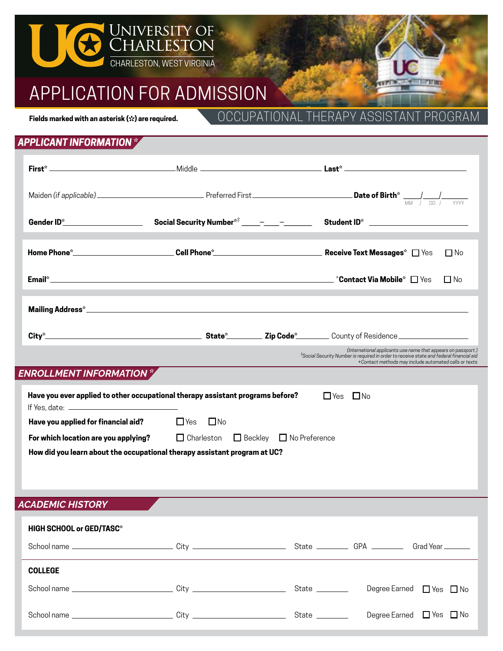

# APPLICATION FOR ADMISSION

**Fields marked with an asterisk (\* ) are required.**

OCCUPATIONAL THERAPY ASSISTANT PROGRAM

## *APPLICANT INFORMATION \**

|                                                                                                           |                                                                                               | Student ID* ________________________                                                                                                                                                                              |  |  |  |  |
|-----------------------------------------------------------------------------------------------------------|-----------------------------------------------------------------------------------------------|-------------------------------------------------------------------------------------------------------------------------------------------------------------------------------------------------------------------|--|--|--|--|
|                                                                                                           |                                                                                               | $\Box$ No                                                                                                                                                                                                         |  |  |  |  |
|                                                                                                           |                                                                                               | $\Box$ No                                                                                                                                                                                                         |  |  |  |  |
|                                                                                                           |                                                                                               |                                                                                                                                                                                                                   |  |  |  |  |
|                                                                                                           |                                                                                               |                                                                                                                                                                                                                   |  |  |  |  |
|                                                                                                           |                                                                                               | (International applicants use name that appears on passport.)<br>*Social Security Number is required in order to receive state and federal financial aid<br>+Contact methods may include automated calls or texts |  |  |  |  |
| ENROLLMENT INFORMATION *                                                                                  |                                                                                               |                                                                                                                                                                                                                   |  |  |  |  |
| Have you ever applied to other occupational therapy assistant programs before?<br>$\Box$ Yes<br>$\Box$ No |                                                                                               |                                                                                                                                                                                                                   |  |  |  |  |
| Have you applied for financial aid?                                                                       | $\Box$ Yes<br>⊟ No                                                                            |                                                                                                                                                                                                                   |  |  |  |  |
|                                                                                                           | $\Box$ Charleston $\Box$ Beckley $\Box$ No Preference<br>For which location are you applying? |                                                                                                                                                                                                                   |  |  |  |  |
| How did you learn about the occupational therapy assistant program at UC?                                 |                                                                                               |                                                                                                                                                                                                                   |  |  |  |  |

*ACADEMIC HISTORY*

| <b>HIGH SCHOOL or GED/TASC*</b>                                                                     |  |                |  |                                    |  |  |
|-----------------------------------------------------------------------------------------------------|--|----------------|--|------------------------------------|--|--|
|                                                                                                     |  |                |  |                                    |  |  |
| <b>COLLEGE</b>                                                                                      |  |                |  |                                    |  |  |
| School name _________________________________City ______________________________                    |  | State ________ |  | Degree Earned $\Box$ Yes $\Box$ No |  |  |
| School name _______________________________City ________________________________State _____________ |  |                |  | Degree Earned $\Box$ Yes $\Box$ No |  |  |